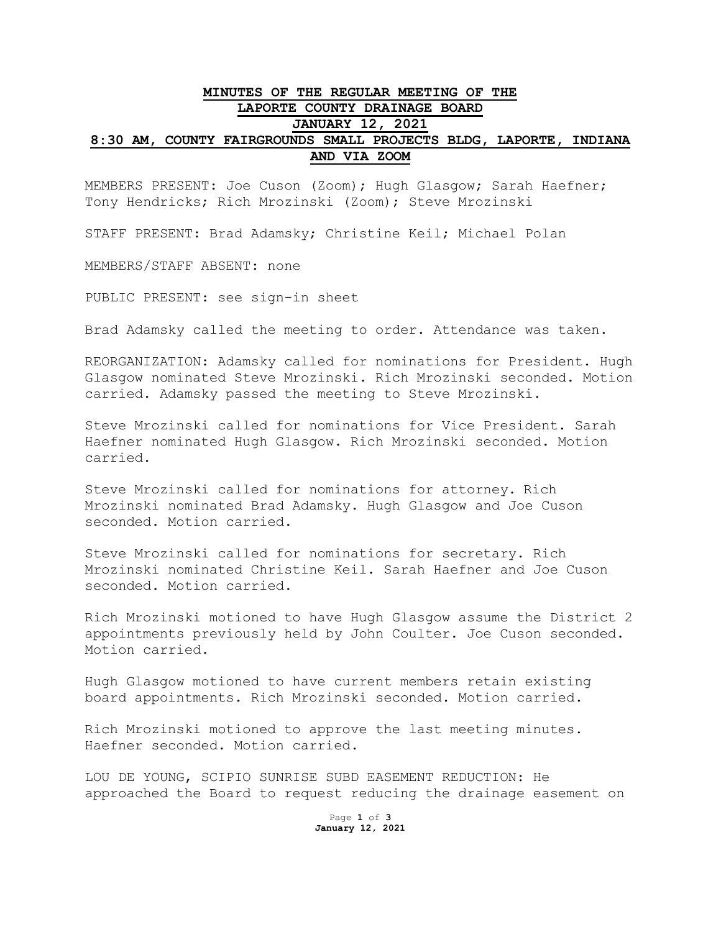## **MINUTES OF THE REGULAR MEETING OF THE LAPORTE COUNTY DRAINAGE BOARD JANUARY 12, 2021 8:30 AM, COUNTY FAIRGROUNDS SMALL PROJECTS BLDG, LAPORTE, INDIANA AND VIA ZOOM**

MEMBERS PRESENT: Joe Cuson (Zoom); Hugh Glasgow; Sarah Haefner; Tony Hendricks; Rich Mrozinski (Zoom); Steve Mrozinski

STAFF PRESENT: Brad Adamsky; Christine Keil; Michael Polan

MEMBERS/STAFF ABSENT: none

PUBLIC PRESENT: see sign-in sheet

Brad Adamsky called the meeting to order. Attendance was taken.

REORGANIZATION: Adamsky called for nominations for President. Hugh Glasgow nominated Steve Mrozinski. Rich Mrozinski seconded. Motion carried. Adamsky passed the meeting to Steve Mrozinski.

Steve Mrozinski called for nominations for Vice President. Sarah Haefner nominated Hugh Glasgow. Rich Mrozinski seconded. Motion carried.

Steve Mrozinski called for nominations for attorney. Rich Mrozinski nominated Brad Adamsky. Hugh Glasgow and Joe Cuson seconded. Motion carried.

Steve Mrozinski called for nominations for secretary. Rich Mrozinski nominated Christine Keil. Sarah Haefner and Joe Cuson seconded. Motion carried.

Rich Mrozinski motioned to have Hugh Glasgow assume the District 2 appointments previously held by John Coulter. Joe Cuson seconded. Motion carried.

Hugh Glasgow motioned to have current members retain existing board appointments. Rich Mrozinski seconded. Motion carried.

Rich Mrozinski motioned to approve the last meeting minutes. Haefner seconded. Motion carried.

LOU DE YOUNG, SCIPIO SUNRISE SUBD EASEMENT REDUCTION: He approached the Board to request reducing the drainage easement on

> Page **1** of **3 January 12, 2021**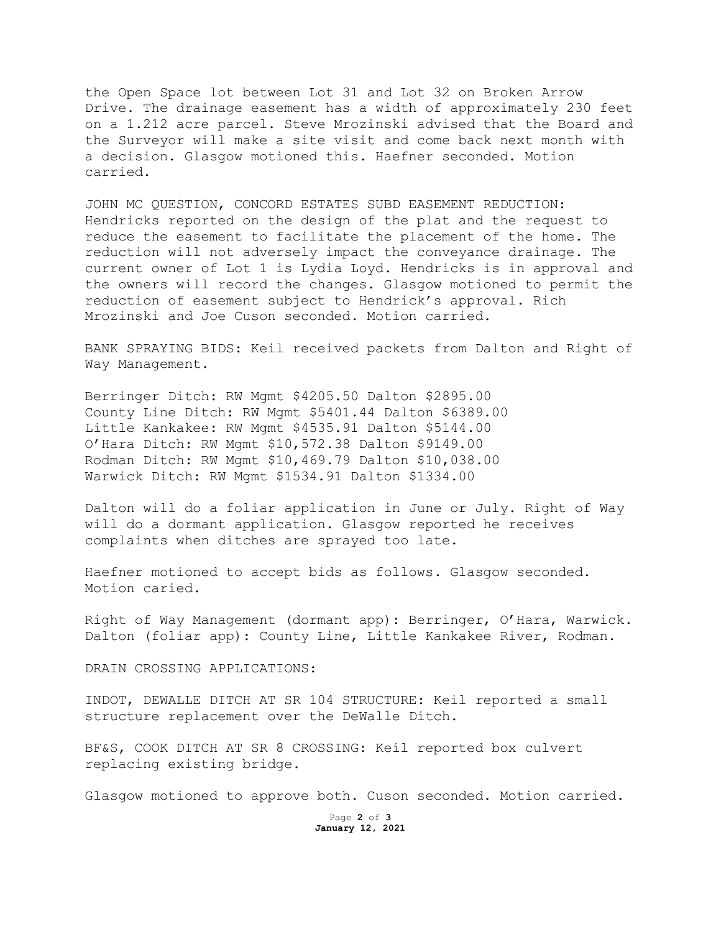the Open Space lot between Lot 31 and Lot 32 on Broken Arrow Drive. The drainage easement has a width of approximately 230 feet on a 1.212 acre parcel. Steve Mrozinski advised that the Board and the Surveyor will make a site visit and come back next month with a decision. Glasgow motioned this. Haefner seconded. Motion carried.

JOHN MC QUESTION, CONCORD ESTATES SUBD EASEMENT REDUCTION: Hendricks reported on the design of the plat and the request to reduce the easement to facilitate the placement of the home. The reduction will not adversely impact the conveyance drainage. The current owner of Lot 1 is Lydia Loyd. Hendricks is in approval and the owners will record the changes. Glasgow motioned to permit the reduction of easement subject to Hendrick's approval. Rich Mrozinski and Joe Cuson seconded. Motion carried.

BANK SPRAYING BIDS: Keil received packets from Dalton and Right of Way Management.

Berringer Ditch: RW Mgmt \$4205.50 Dalton \$2895.00 County Line Ditch: RW Mgmt \$5401.44 Dalton \$6389.00 Little Kankakee: RW Mgmt \$4535.91 Dalton \$5144.00 O'Hara Ditch: RW Mgmt \$10,572.38 Dalton \$9149.00 Rodman Ditch: RW Mgmt \$10,469.79 Dalton \$10,038.00 Warwick Ditch: RW Mgmt \$1534.91 Dalton \$1334.00

Dalton will do a foliar application in June or July. Right of Way will do a dormant application. Glasgow reported he receives complaints when ditches are sprayed too late.

Haefner motioned to accept bids as follows. Glasgow seconded. Motion caried.

Right of Way Management (dormant app): Berringer, O'Hara, Warwick. Dalton (foliar app): County Line, Little Kankakee River, Rodman.

DRAIN CROSSING APPLICATIONS:

INDOT, DEWALLE DITCH AT SR 104 STRUCTURE: Keil reported a small structure replacement over the DeWalle Ditch.

BF&S, COOK DITCH AT SR 8 CROSSING: Keil reported box culvert replacing existing bridge.

Glasgow motioned to approve both. Cuson seconded. Motion carried.

Page **2** of **3 January 12, 2021**